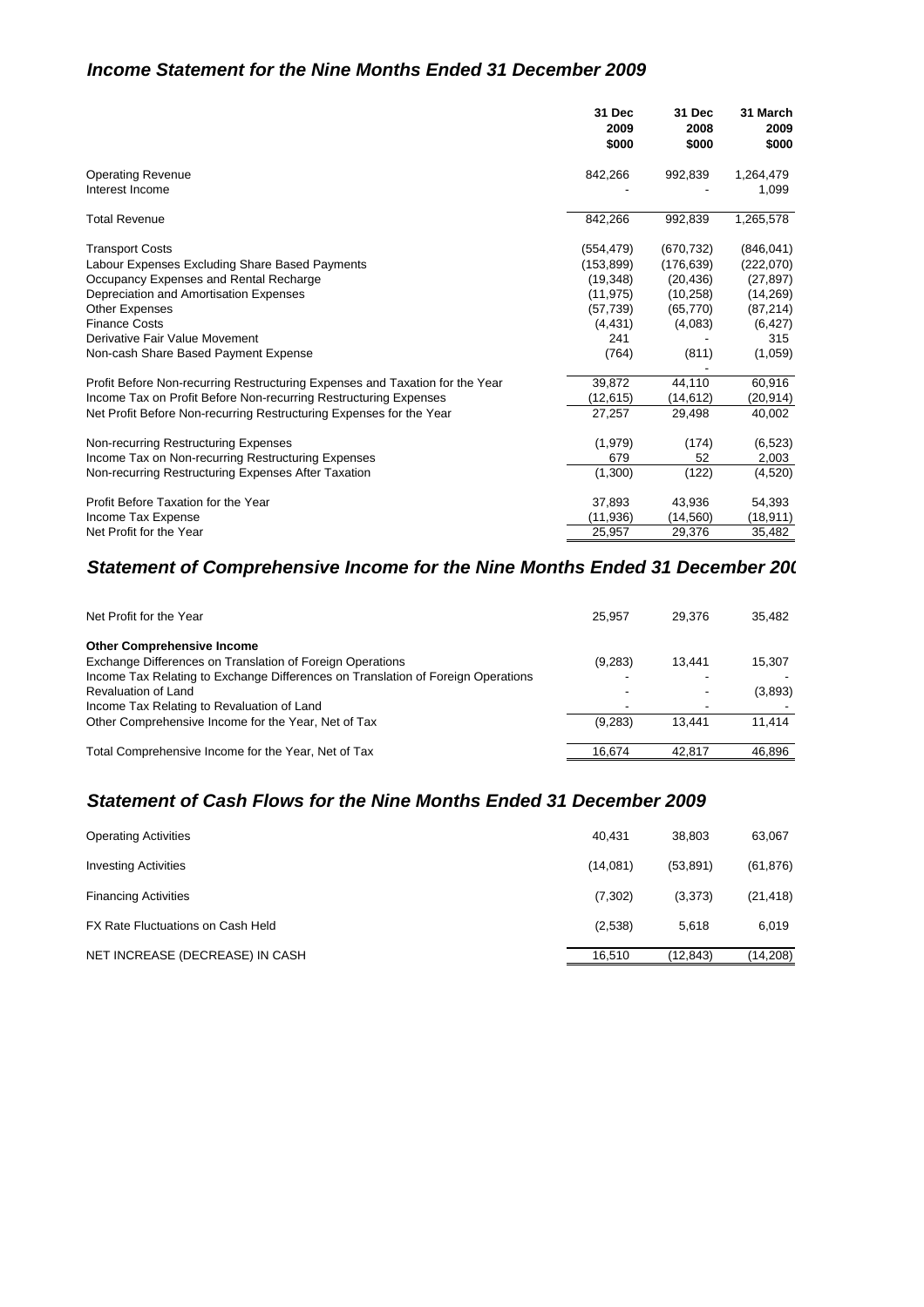#### *Income Statement for the Nine Months Ended 31 December 2009*

|                                                                                                                                                                                                                                                                                                                                                                                                                                             | 31 Dec                                                                                                             | 31 Dec                                                                                                     | 31 March                                                                                                           |
|---------------------------------------------------------------------------------------------------------------------------------------------------------------------------------------------------------------------------------------------------------------------------------------------------------------------------------------------------------------------------------------------------------------------------------------------|--------------------------------------------------------------------------------------------------------------------|------------------------------------------------------------------------------------------------------------|--------------------------------------------------------------------------------------------------------------------|
|                                                                                                                                                                                                                                                                                                                                                                                                                                             | 2009                                                                                                               | 2008                                                                                                       | 2009                                                                                                               |
|                                                                                                                                                                                                                                                                                                                                                                                                                                             | \$000                                                                                                              | \$000                                                                                                      | \$000                                                                                                              |
| <b>Operating Revenue</b><br>Interest Income                                                                                                                                                                                                                                                                                                                                                                                                 | 842,266                                                                                                            | 992,839                                                                                                    | 1,264,479<br>1,099                                                                                                 |
| <b>Total Revenue</b>                                                                                                                                                                                                                                                                                                                                                                                                                        | 842,266                                                                                                            | 992,839                                                                                                    | 1,265,578                                                                                                          |
| <b>Transport Costs</b><br>Labour Expenses Excluding Share Based Payments<br>Occupancy Expenses and Rental Recharge<br>Depreciation and Amortisation Expenses<br><b>Other Expenses</b><br><b>Finance Costs</b><br>Derivative Fair Value Movement<br>Non-cash Share Based Payment Expense<br>Profit Before Non-recurring Restructuring Expenses and Taxation for the Year<br>Income Tax on Profit Before Non-recurring Restructuring Expenses | (554, 479)<br>(153, 899)<br>(19, 348)<br>(11, 975)<br>(57, 739)<br>(4, 431)<br>241<br>(764)<br>39,872<br>(12, 615) | (670, 732)<br>(176, 639)<br>(20, 436)<br>(10, 258)<br>(65, 770)<br>(4,083)<br>(811)<br>44,110<br>(14, 612) | (846, 041)<br>(222,070)<br>(27, 897)<br>(14,269)<br>(87, 214)<br>(6, 427)<br>315<br>(1,059)<br>60,916<br>(20, 914) |
| Net Profit Before Non-recurring Restructuring Expenses for the Year                                                                                                                                                                                                                                                                                                                                                                         | 27,257                                                                                                             | 29,498                                                                                                     | 40,002                                                                                                             |
| Non-recurring Restructuring Expenses                                                                                                                                                                                                                                                                                                                                                                                                        | (1,979)                                                                                                            | (174)                                                                                                      | (6, 523)                                                                                                           |
| Income Tax on Non-recurring Restructuring Expenses                                                                                                                                                                                                                                                                                                                                                                                          | 679                                                                                                                | 52                                                                                                         | 2,003                                                                                                              |
| Non-recurring Restructuring Expenses After Taxation                                                                                                                                                                                                                                                                                                                                                                                         | (1,300)                                                                                                            | (122)                                                                                                      | (4,520)                                                                                                            |
| Profit Before Taxation for the Year                                                                                                                                                                                                                                                                                                                                                                                                         | 37,893                                                                                                             | 43,936                                                                                                     | 54,393                                                                                                             |
| Income Tax Expense                                                                                                                                                                                                                                                                                                                                                                                                                          | (11, 936)                                                                                                          | (14, 560)                                                                                                  | (18, 911)                                                                                                          |
| Net Profit for the Year                                                                                                                                                                                                                                                                                                                                                                                                                     | 25,957                                                                                                             | 29,376                                                                                                     | 35,482                                                                                                             |

#### *Statement of Comprehensive Income for the Nine Months Ended 31 December 200*

| Net Profit for the Year                                                          | 25.957  | 29.376 | 35.482  |
|----------------------------------------------------------------------------------|---------|--------|---------|
| <b>Other Comprehensive Income</b>                                                |         |        |         |
| Exchange Differences on Translation of Foreign Operations                        | (9,283) | 13.441 | 15,307  |
| Income Tax Relating to Exchange Differences on Translation of Foreign Operations |         |        |         |
| <b>Revaluation of Land</b>                                                       |         |        | (3,893) |
| Income Tax Relating to Revaluation of Land                                       |         |        |         |
| Other Comprehensive Income for the Year, Net of Tax                              | (9,283) | 13.441 | 11.414  |
| Total Comprehensive Income for the Year, Net of Tax                              | 16.674  | 42.817 | 46.896  |

## *Statement of Cash Flows for the Nine Months Ended 31 December 2009*

| <b>Operating Activities</b>       | 40.431   | 38.803    | 63,067    |
|-----------------------------------|----------|-----------|-----------|
| <b>Investing Activities</b>       | (14,081) | (53, 891) | (61, 876) |
| <b>Financing Activities</b>       | (7,302)  | (3,373)   | (21, 418) |
| FX Rate Fluctuations on Cash Held | (2,538)  | 5.618     | 6,019     |
| NET INCREASE (DECREASE) IN CASH   | 16.510   | (12.843)  | (14, 208) |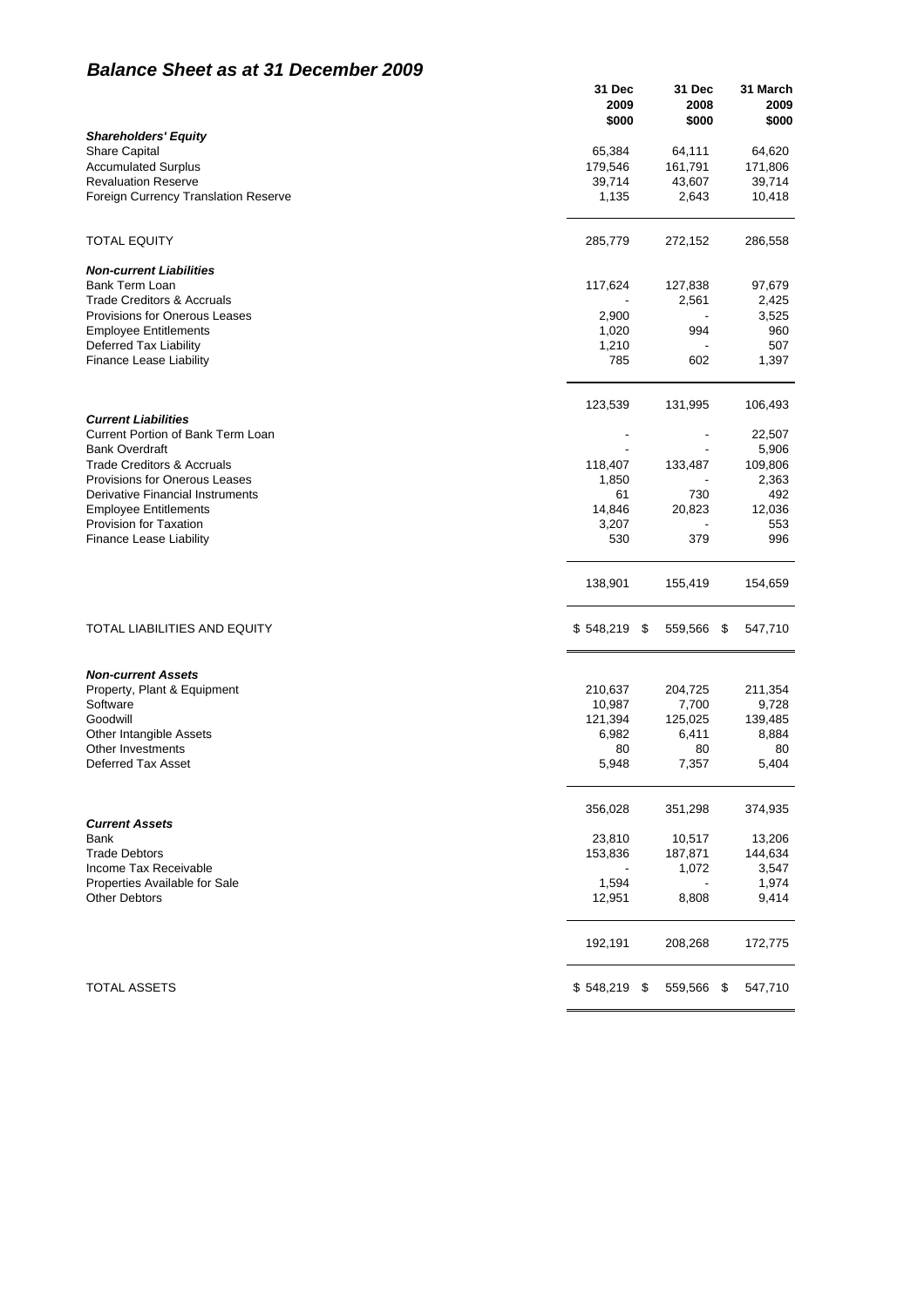## *Balance Sheet as at 31 December 2009*

|                                                                 | 31 Dec<br>2009<br>\$000 | 31 Dec<br>2008<br>\$000 |      | 31 March<br>2009<br>\$000 |
|-----------------------------------------------------------------|-------------------------|-------------------------|------|---------------------------|
| <b>Shareholders' Equity</b>                                     |                         |                         |      |                           |
| <b>Share Capital</b>                                            | 65,384                  | 64,111                  |      | 64,620                    |
| <b>Accumulated Surplus</b>                                      | 179,546                 | 161,791                 |      | 171,806                   |
| <b>Revaluation Reserve</b>                                      | 39,714                  | 43,607                  |      | 39,714                    |
| Foreign Currency Translation Reserve                            | 1,135                   | 2,643                   |      | 10,418                    |
|                                                                 |                         |                         |      |                           |
| <b>TOTAL EQUITY</b>                                             | 285,779                 | 272,152                 |      | 286,558                   |
| <b>Non-current Liabilities</b><br><b>Bank Term Loan</b>         | 117,624                 | 127,838                 |      | 97,679                    |
| <b>Trade Creditors &amp; Accruals</b>                           |                         | 2,561                   |      | 2,425                     |
| <b>Provisions for Onerous Leases</b>                            |                         |                         |      |                           |
|                                                                 | 2,900<br>1,020          | 994                     |      | 3,525<br>960              |
| <b>Employee Entitlements</b>                                    |                         |                         |      |                           |
| Deferred Tax Liability                                          | 1,210<br>785            | $\blacksquare$<br>602   |      | 507<br>1,397              |
| <b>Finance Lease Liability</b>                                  |                         |                         |      |                           |
|                                                                 | 123,539                 | 131,995                 |      | 106,493                   |
| <b>Current Liabilities</b><br>Current Portion of Bank Term Loan |                         | ٠                       |      | 22,507                    |
| <b>Bank Overdraft</b>                                           |                         |                         |      | 5,906                     |
| <b>Trade Creditors &amp; Accruals</b>                           | 118,407                 | 133,487                 |      | 109,806                   |
| <b>Provisions for Onerous Leases</b>                            | 1,850                   |                         |      | 2,363                     |
| Derivative Financial Instruments                                | 61                      | 730                     |      | 492                       |
| <b>Employee Entitlements</b>                                    | 14,846                  | 20,823                  |      | 12,036                    |
| <b>Provision for Taxation</b>                                   | 3,207                   |                         |      | 553                       |
| <b>Finance Lease Liability</b>                                  | 530                     | 379                     |      | 996                       |
|                                                                 |                         |                         |      |                           |
|                                                                 | 138,901                 | 155,419                 |      | 154,659                   |
| TOTAL LIABILITIES AND EQUITY                                    | \$548,219               | \$<br>559,566           | -\$  | 547,710                   |
| <b>Non-current Assets</b>                                       |                         |                         |      |                           |
| Property, Plant & Equipment                                     | 210,637                 | 204,725                 |      | 211,354                   |
| Software                                                        | 10,987                  | 7,700                   |      | 9,728                     |
| Goodwill                                                        | 121,394                 | 125,025                 |      | 139,485                   |
| Other Intangible Assets                                         | 6,982                   | 6,411                   |      | 8,884                     |
| Other Investments                                               | 80                      | 80                      |      | 80                        |
| Deferred Tax Asset                                              | 5,948                   | 7,357                   |      | 5,404                     |
|                                                                 | 356,028                 | 351,298                 |      | 374,935                   |
| <b>Current Assets</b>                                           |                         |                         |      |                           |
| Bank                                                            | 23,810                  | 10,517                  |      | 13,206                    |
| <b>Trade Debtors</b>                                            | 153,836                 | 187,871                 |      | 144,634                   |
| Income Tax Receivable                                           |                         | 1,072                   |      | 3,547                     |
| Properties Available for Sale                                   | 1,594                   |                         |      | 1,974                     |
| <b>Other Debtors</b>                                            | 12,951                  | 8,808                   |      | 9,414                     |
|                                                                 | 192,191                 | 208,268                 |      | 172,775                   |
| <b>TOTAL ASSETS</b>                                             | \$548,219               | \$<br>559,566           | - \$ | 547,710                   |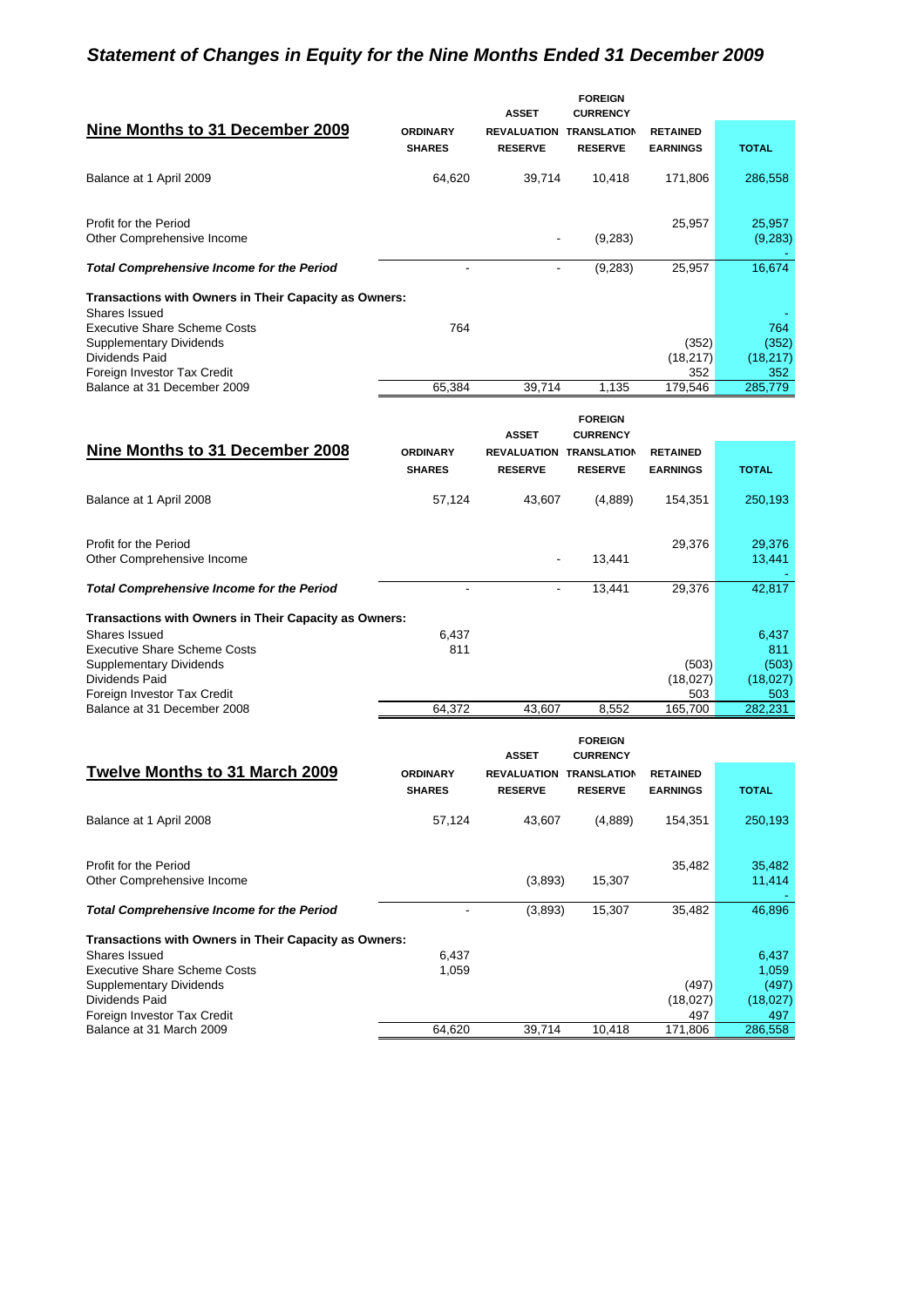# *Statement of Changes in Equity for the Nine Months Ended 31 December 2009*

|                                                       |                                  | <b>ASSET</b>                         | <b>FOREIGN</b><br><b>CURRENCY</b>    |                                    |              |
|-------------------------------------------------------|----------------------------------|--------------------------------------|--------------------------------------|------------------------------------|--------------|
| Nine Months to 31 December 2009                       | <b>ORDINARY</b><br><b>SHARES</b> | <b>REVALUATION</b><br><b>RESERVE</b> | <b>TRANSLATION</b><br><b>RESERVE</b> | <b>RETAINED</b><br><b>EARNINGS</b> | <b>TOTAL</b> |
|                                                       |                                  |                                      |                                      |                                    |              |
| Balance at 1 April 2009                               | 64,620                           | 39,714                               | 10,418                               | 171,806                            | 286,558      |
| Profit for the Period                                 |                                  |                                      |                                      | 25,957                             | 25,957       |
| Other Comprehensive Income                            |                                  |                                      | (9,283)                              |                                    | (9,283)      |
| <b>Total Comprehensive Income for the Period</b>      |                                  |                                      | (9,283)                              | 25.957                             | 16,674       |
| Transactions with Owners in Their Capacity as Owners: |                                  |                                      |                                      |                                    |              |
| Shares Issued                                         |                                  |                                      |                                      |                                    |              |
| <b>Executive Share Scheme Costs</b>                   | 764                              |                                      |                                      |                                    | 764          |
| <b>Supplementary Dividends</b>                        |                                  |                                      |                                      | (352)                              | (352)        |
| Dividends Paid                                        |                                  |                                      |                                      | (18, 217)                          | (18,217)     |
| Foreign Investor Tax Credit                           |                                  |                                      |                                      | 352                                | 352          |
| Balance at 31 December 2009                           | 65.384                           | 39.714                               | 1.135                                | 179,546                            | 285,779      |

|                                                       |                                  | <b>ASSET</b>                         | <b>FOREIGN</b><br><b>CURRENCY</b>    |                                    |              |
|-------------------------------------------------------|----------------------------------|--------------------------------------|--------------------------------------|------------------------------------|--------------|
| Nine Months to 31 December 2008                       | <b>ORDINARY</b><br><b>SHARES</b> | <b>REVALUATION</b><br><b>RESERVE</b> | <b>TRANSLATION</b><br><b>RESERVE</b> | <b>RETAINED</b><br><b>EARNINGS</b> | <b>TOTAL</b> |
| Balance at 1 April 2008                               | 57,124                           | 43,607                               | (4,889)                              | 154,351                            | 250,193      |
| Profit for the Period                                 |                                  |                                      |                                      | 29,376                             | 29,376       |
| Other Comprehensive Income                            |                                  |                                      | 13,441                               |                                    | 13,441       |
| <b>Total Comprehensive Income for the Period</b>      |                                  |                                      | 13,441                               | 29,376                             | 42,817       |
| Transactions with Owners in Their Capacity as Owners: |                                  |                                      |                                      |                                    |              |
| Shares Issued                                         | 6,437                            |                                      |                                      |                                    | 6,437        |
| <b>Executive Share Scheme Costs</b>                   | 811                              |                                      |                                      |                                    | 811          |
| <b>Supplementary Dividends</b>                        |                                  |                                      |                                      | (503)                              | (503)        |
| Dividends Paid                                        |                                  |                                      |                                      | (18,027)                           | (18,027)     |
| Foreign Investor Tax Credit                           |                                  |                                      |                                      | 503                                | 503          |
| Balance at 31 December 2008                           | 64,372                           | 43,607                               | 8,552                                | 165,700                            | 282,231      |

|                                                       |                                  | <b>ASSET</b>                         | <b>FOREIGN</b><br><b>CURRENCY</b>    |                                    |              |
|-------------------------------------------------------|----------------------------------|--------------------------------------|--------------------------------------|------------------------------------|--------------|
| Twelve Months to 31 March 2009                        | <b>ORDINARY</b><br><b>SHARES</b> | <b>REVALUATION</b><br><b>RESERVE</b> | <b>TRANSLATION</b><br><b>RESERVE</b> | <b>RETAINED</b><br><b>EARNINGS</b> | <b>TOTAL</b> |
|                                                       |                                  |                                      |                                      |                                    |              |
| Balance at 1 April 2008                               | 57,124                           | 43,607                               | (4,889)                              | 154,351                            | 250,193      |
|                                                       |                                  |                                      |                                      |                                    |              |
| Profit for the Period                                 |                                  |                                      |                                      | 35,482                             | 35,482       |
| Other Comprehensive Income                            |                                  | (3,893)                              | 15,307                               |                                    | 11,414       |
| <b>Total Comprehensive Income for the Period</b>      |                                  | (3,893)                              | 15,307                               | 35,482                             | 46,896       |
| Transactions with Owners in Their Capacity as Owners: |                                  |                                      |                                      |                                    |              |
| Shares Issued                                         | 6,437                            |                                      |                                      |                                    | 6,437        |
| <b>Executive Share Scheme Costs</b>                   | 1,059                            |                                      |                                      |                                    | 1,059        |
| <b>Supplementary Dividends</b>                        |                                  |                                      |                                      | (497)                              | (497)        |
| Dividends Paid                                        |                                  |                                      |                                      | (18,027)                           | (18,027)     |
| Foreign Investor Tax Credit                           |                                  |                                      |                                      | 497                                | 497          |
| Balance at 31 March 2009                              | 64.620                           | 39.714                               | 10,418                               | 171,806                            | 286,558      |